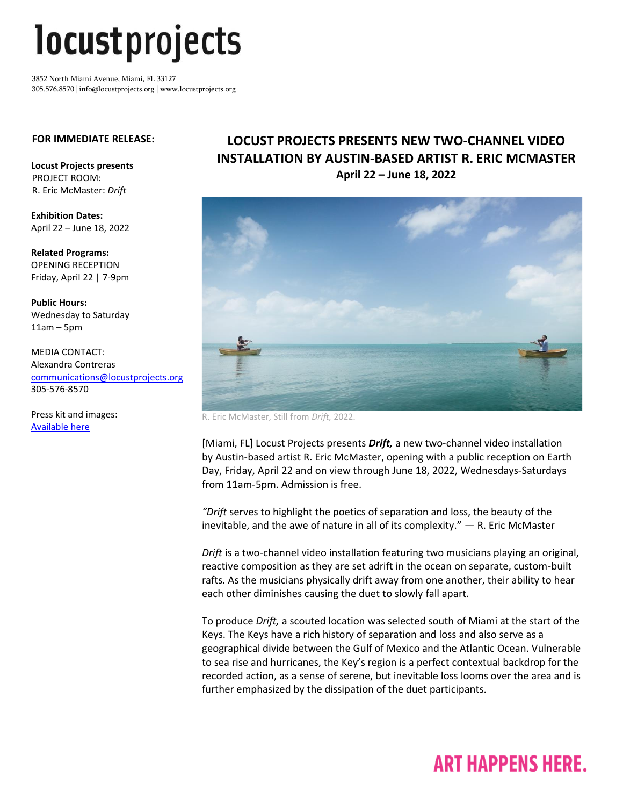# *locustprojects*

3852 North Miami Avenue, Miami, FL 33127 305.576.8570 | info@locustprojects.org | www.locustprojects.org

#### **FOR IMMEDIATE RELEASE:**

**Locust Projects presents**  PROJECT ROOM: R. Eric McMaster: *Drift*

**Exhibition Dates:** April 22 – June 18, 2022

**Related Programs:** OPENING RECEPTION Friday, April 22 | 7-9pm

**Public Hours:** Wednesday to Saturday 11am – 5pm

MEDIA CONTACT: Alexandra Contreras [communications@locustprojects.org](mailto:communications@locustprojects.org) 305-576-8570

Press kit and images: [Available here](https://www.dropbox.com/sh/hj0w5p4r2av4tig/AAAxeNtjzC8RF6vfPlwmo4hoa?dl=0)

### **LOCUST PROJECTS PRESENTS NEW TWO-CHANNEL VIDEO INSTALLATION BY AUSTIN-BASED ARTIST R. ERIC MCMASTER April 22 – June 18, 2022**



R. Eric McMaster, Still from *Drift,* 2022.

[Miami, FL] Locust Projects presents *Drift,* a new two-channel video installation by Austin-based artist R. Eric McMaster, opening with a public reception on Earth Day, Friday, April 22 and on view through June 18, 2022, Wednesdays-Saturdays from 11am-5pm. Admission is free.

*"Drift* serves to highlight the poetics of separation and loss, the beauty of the inevitable, and the awe of nature in all of its complexity." — R. Eric McMaster

*Drift* is a two-channel video installation featuring two musicians playing an original, reactive composition as they are set adrift in the ocean on separate, custom-built rafts. As the musicians physically drift away from one another, their ability to hear each other diminishes causing the duet to slowly fall apart.

To produce *Drift,* a scouted location was selected south of Miami at the start of the Keys. The Keys have a rich history of separation and loss and also serve as a geographical divide between the Gulf of Mexico and the Atlantic Ocean. Vulnerable to sea rise and hurricanes, the Key's region is a perfect contextual backdrop for the recorded action, as a sense of serene, but inevitable loss looms over the area and is further emphasized by the dissipation of the duet participants.

## **ART HAPPENS HERE.**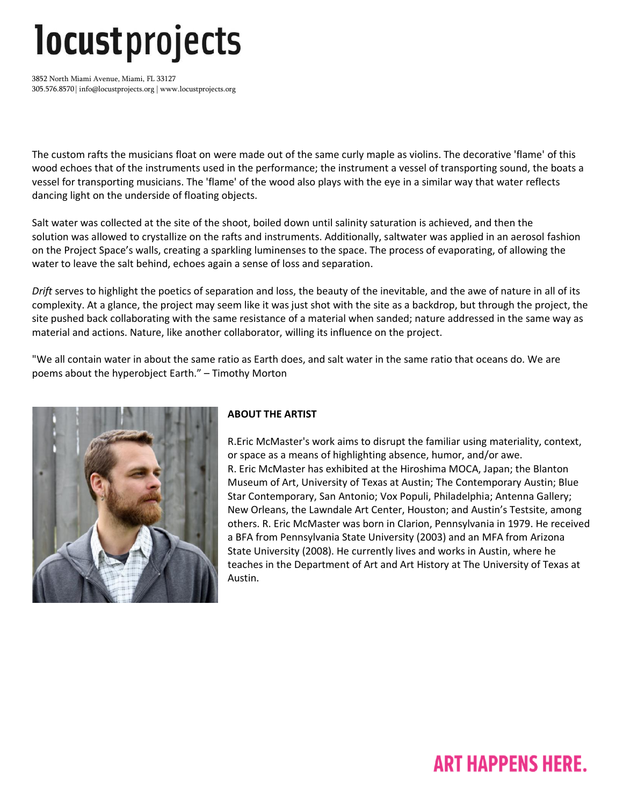# *locustprojects*

3852 North Miami Avenue, Miami, FL 33127 305.576.8570 | info@locustprojects.org | www.locustprojects.org

The custom rafts the musicians float on were made out of the same curly maple as violins. The decorative 'flame' of this wood echoes that of the instruments used in the performance; the instrument a vessel of transporting sound, the boats a vessel for transporting musicians. The 'flame' of the wood also plays with the eye in a similar way that water reflects dancing light on the underside of floating objects.

Salt water was collected at the site of the shoot, boiled down until salinity saturation is achieved, and then the solution was allowed to crystallize on the rafts and instruments. Additionally, saltwater was applied in an aerosol fashion on the Project Space's walls, creating a sparkling luminenses to the space. The process of evaporating, of allowing the water to leave the salt behind, echoes again a sense of loss and separation.

*Drift* serves to highlight the poetics of separation and loss, the beauty of the inevitable, and the awe of nature in all of its complexity. At a glance, the project may seem like it was just shot with the site as a backdrop, but through the project, the site pushed back collaborating with the same resistance of a material when sanded; nature addressed in the same way as material and actions. Nature, like another collaborator, willing its influence on the project.

"We all contain water in about the same ratio as Earth does, and salt water in the same ratio that oceans do. We are poems about the hyperobject Earth." – Timothy Morton



### **ABOUT THE ARTIST**

R.Eric McMaster's work aims to disrupt the familiar using materiality, context, or space as a means of highlighting absence, humor, and/or awe. R. Eric McMaster has exhibited at the Hiroshima MOCA, Japan; the Blanton Museum of Art, University of Texas at Austin; The Contemporary Austin; Blue Star Contemporary, San Antonio; Vox Populi, Philadelphia; Antenna Gallery; New Orleans, the Lawndale Art Center, Houston; and Austin's Testsite, among others. R. Eric McMaster was born in Clarion, Pennsylvania in 1979. He received a BFA from Pennsylvania State University (2003) and an MFA from Arizona State University (2008). He currently lives and works in Austin, where he teaches in the Department of Art and Art History at The University of Texas at Austin.

## **ART HAPPENS HERE.**